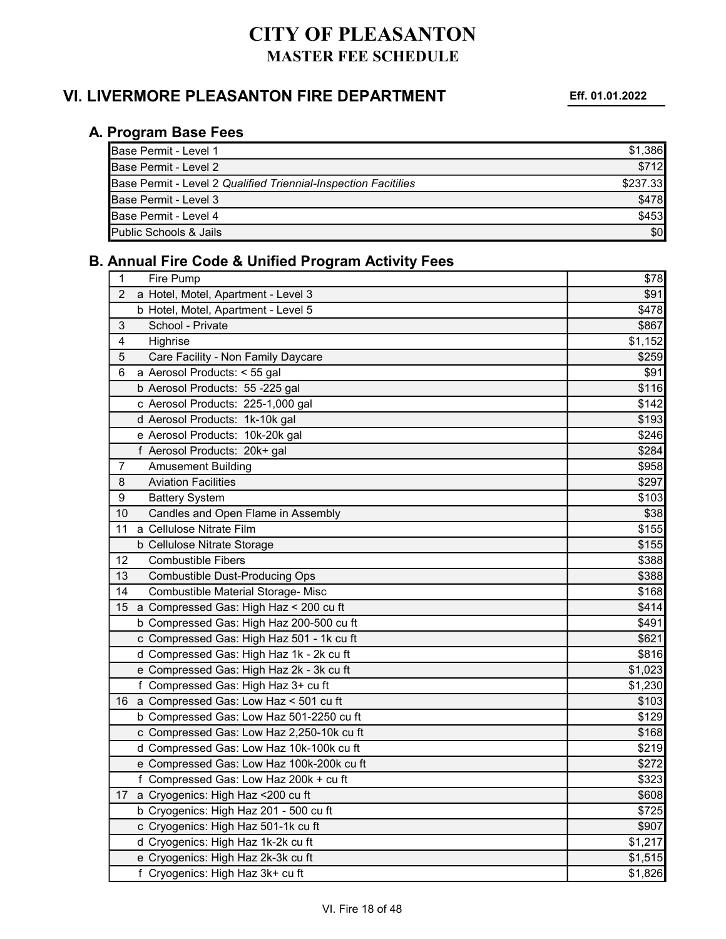### VI. LIVERMORE PLEASANTON FIRE DEPARTMENT Eff. 01.01.2022

#### A. Program Base Fees

| <b>IBase Permit - Level 1</b>                                          | \$1.386  |
|------------------------------------------------------------------------|----------|
| <b>IBase Permit - Level 2</b>                                          | \$712    |
| <b>Base Permit - Level 2 Qualified Triennial-Inspection Facitilies</b> | \$237.33 |
| <b>Base Permit - Level 3</b>                                           | \$478    |
| <b>I</b> Base Permit - Level 4                                         | \$453    |
| Public Schools & Jails                                                 | \$0      |

#### B. Annual Fire Code & Unified Program Activity Fees

| 1              | Fire Pump                                 | \$78    |
|----------------|-------------------------------------------|---------|
| $\overline{2}$ | a Hotel, Motel, Apartment - Level 3       | \$91    |
|                | b Hotel, Motel, Apartment - Level 5       | \$478   |
| 3              | School - Private                          | \$867   |
| 4<br>Highrise  |                                           | \$1,152 |
| 5              | Care Facility - Non Family Daycare        | \$259   |
| 6              | a Aerosol Products: < 55 gal              | \$91    |
|                | b Aerosol Products: 55 -225 gal           | \$116   |
|                | c Aerosol Products: 225-1,000 gal         | \$142   |
|                | d Aerosol Products: 1k-10k gal            | \$193   |
|                | e Aerosol Products: 10k-20k gal           | \$246   |
|                | f Aerosol Products: 20k+ gal              | \$284   |
| 7              | <b>Amusement Building</b>                 | \$958   |
| 8              | <b>Aviation Facilities</b>                | \$297   |
| 9              | <b>Battery System</b>                     | \$103   |
| 10             | Candles and Open Flame in Assembly        | \$38    |
| 11             | a Cellulose Nitrate Film                  | \$155   |
|                | b Cellulose Nitrate Storage               | \$155   |
| 12             | <b>Combustible Fibers</b>                 | \$388   |
| 13             | <b>Combustible Dust-Producing Ops</b>     | \$388   |
| 14             | Combustible Material Storage- Misc        | \$168   |
| 15             | a Compressed Gas: High Haz < 200 cu ft    | \$414   |
|                | b Compressed Gas: High Haz 200-500 cu ft  | \$491   |
|                | c Compressed Gas: High Haz 501 - 1k cu ft | \$621   |
|                | d Compressed Gas: High Haz 1k - 2k cu ft  | \$816   |
|                | e Compressed Gas: High Haz 2k - 3k cu ft  | \$1,023 |
|                | f Compressed Gas: High Haz 3+ cu ft       | \$1,230 |
| 16             | a Compressed Gas: Low Haz < 501 cu ft     | \$103   |
|                | b Compressed Gas: Low Haz 501-2250 cu ft  | \$129   |
|                | c Compressed Gas: Low Haz 2,250-10k cu ft | \$168   |
|                | d Compressed Gas: Low Haz 10k-100k cu ft  | \$219   |
|                | e Compressed Gas: Low Haz 100k-200k cu ft | \$272   |
|                | f Compressed Gas: Low Haz 200k + cu ft    | \$323   |
| 17             | a Cryogenics: High Haz <200 cu ft         | \$608   |
|                | b Cryogenics: High Haz 201 - 500 cu ft    | \$725   |
|                | c Cryogenics: High Haz 501-1k cu ft       | \$907   |
|                | d Cryogenics: High Haz 1k-2k cu ft        | \$1,217 |
|                | e Cryogenics: High Haz 2k-3k cu ft        | \$1,515 |
|                | f Cryogenics: High Haz 3k+ cu ft          | \$1,826 |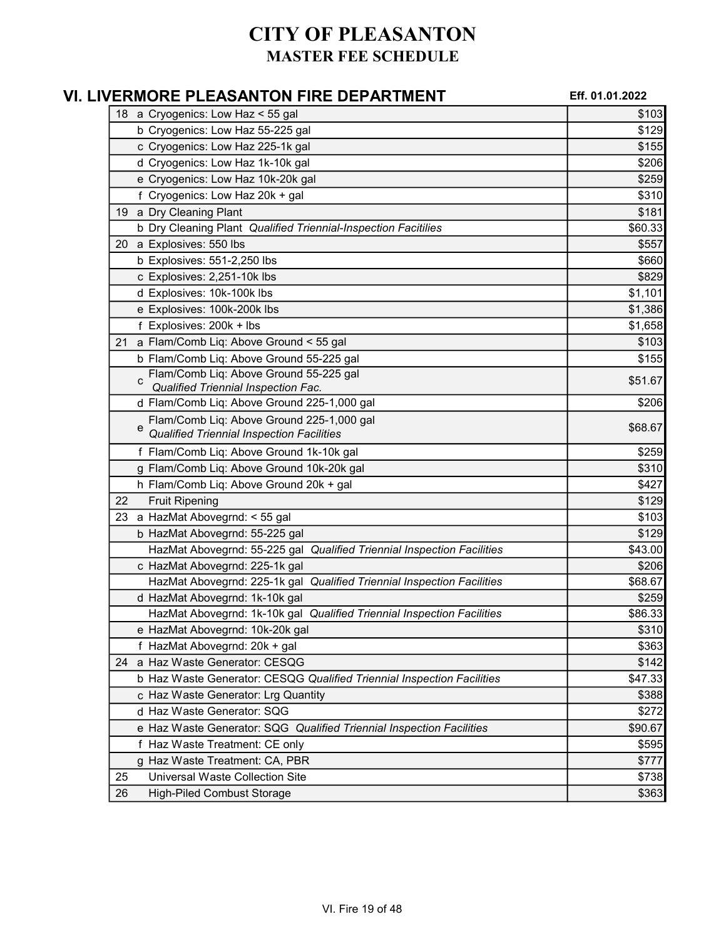|    | VI. LIVERMORE PLEASANTON FIRE DEPARTMENT                               | Eff. 01.01.2022 |
|----|------------------------------------------------------------------------|-----------------|
|    | 18 a Cryogenics: Low Haz < 55 gal                                      | \$103           |
|    | b Cryogenics: Low Haz 55-225 gal                                       | \$129           |
|    | c Cryogenics: Low Haz 225-1k gal                                       | \$155           |
|    | d Cryogenics: Low Haz 1k-10k gal                                       | \$206           |
|    | e Cryogenics: Low Haz 10k-20k gal                                      | \$259           |
|    | f Cryogenics: Low Haz 20k + gal                                        | \$310           |
|    | 19 a Dry Cleaning Plant                                                | \$181           |
|    | b Dry Cleaning Plant Qualified Triennial-Inspection Facitilies         | \$60.33         |
|    | 20 a Explosives: 550 lbs                                               | \$557           |
|    | b Explosives: 551-2,250 lbs                                            | \$660           |
|    | c Explosives: 2,251-10k lbs                                            | \$829           |
|    | d Explosives: 10k-100k lbs                                             | \$1,101         |
|    | e Explosives: 100k-200k lbs                                            | \$1,386         |
|    | f Explosives: 200k + lbs                                               | \$1,658         |
| 21 | a Flam/Comb Liq: Above Ground < 55 gal                                 | \$103           |
|    | b Flam/Comb Liq: Above Ground 55-225 gal                               | \$155           |
|    | Flam/Comb Liq: Above Ground 55-225 gal                                 | \$51.67         |
|    | Qualified Triennial Inspection Fac.                                    |                 |
|    | d Flam/Comb Liq: Above Ground 225-1,000 gal                            | \$206           |
|    | Flam/Comb Liq: Above Ground 225-1,000 gal<br>e                         | \$68.67         |
|    | <b>Qualified Triennial Inspection Facilities</b>                       |                 |
|    | f Flam/Comb Liq: Above Ground 1k-10k gal                               | \$259           |
|    | g Flam/Comb Liq: Above Ground 10k-20k gal                              | \$310           |
|    | h Flam/Comb Liq: Above Ground 20k + gal                                | \$427           |
| 22 | <b>Fruit Ripening</b>                                                  | \$129           |
|    | 23 a HazMat Abovegrnd: < 55 gal                                        | \$103           |
|    | b HazMat Abovegrnd: 55-225 gal                                         | \$129           |
|    | HazMat Abovegrnd: 55-225 gal Qualified Triennial Inspection Facilities | \$43.00         |
|    | c HazMat Abovegrnd: 225-1k gal                                         | \$206           |
|    | HazMat Abovegrnd: 225-1k gal Qualified Triennial Inspection Facilities | \$68.67         |
|    | d HazMat Abovegrnd: 1k-10k gal                                         | \$259           |
|    | HazMat Abovegrnd: 1k-10k gal Qualified Triennial Inspection Facilities | \$86.33         |
|    | e HazMat Abovegrnd: 10k-20k gal                                        | \$310           |
|    | f HazMat Abovegrnd: 20k + gal                                          | \$363           |
| 24 | a Haz Waste Generator: CESQG                                           | \$142           |
|    | b Haz Waste Generator: CESQG Qualified Triennial Inspection Facilities | \$47.33         |
|    | c Haz Waste Generator: Lrg Quantity                                    | \$388           |
|    | d Haz Waste Generator: SQG                                             | \$272           |
|    | e Haz Waste Generator: SQG Qualified Triennial Inspection Facilities   | \$90.67         |
|    | f Haz Waste Treatment: CE only                                         | \$595           |
|    | g Haz Waste Treatment: CA, PBR                                         | \$777           |
| 25 | <b>Universal Waste Collection Site</b>                                 | \$738           |
| 26 | <b>High-Piled Combust Storage</b>                                      | \$363           |
|    |                                                                        |                 |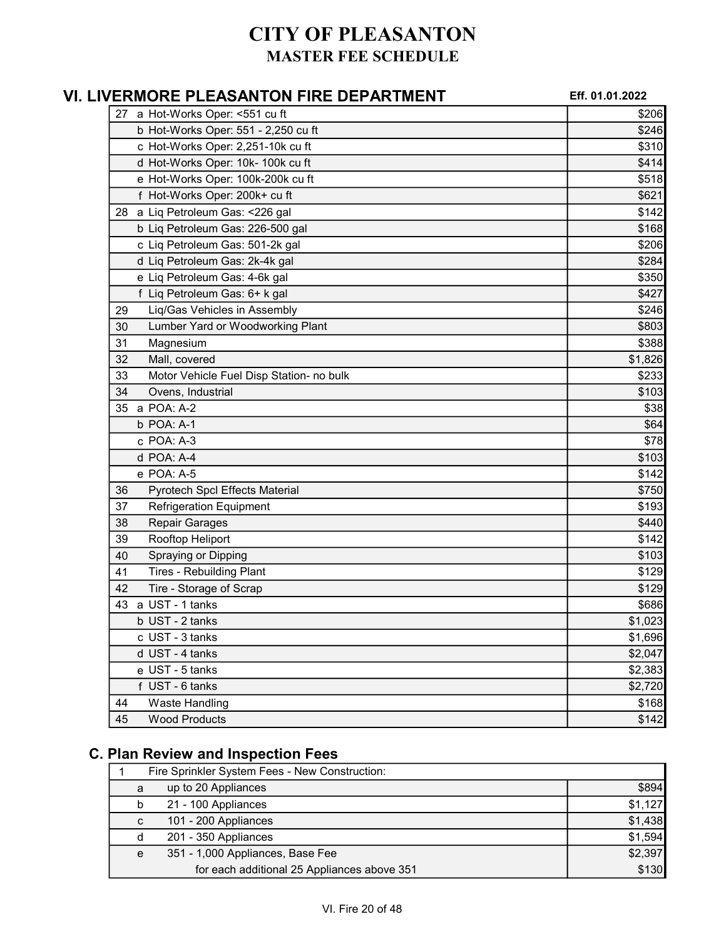| VI. LIVERMORE PLEASANTON FIRE DEPARTMENT       | Eff. 01.01.2022 |
|------------------------------------------------|-----------------|
| 27 a Hot-Works Oper: < 551 cu ft               | \$206           |
| b Hot-Works Oper: 551 - 2,250 cu ft            | \$246           |
| c Hot-Works Oper: 2,251-10k cu ft              | \$310           |
| d Hot-Works Oper: 10k- 100k cu ft              | \$414           |
| e Hot-Works Oper: 100k-200k cu ft              | \$518           |
| f Hot-Works Oper: 200k+ cu ft                  | \$621           |
| 28 a Liq Petroleum Gas: < 226 gal              | \$142           |
| b Liq Petroleum Gas: 226-500 gal               | \$168           |
| c Liq Petroleum Gas: 501-2k gal                | \$206           |
| d Liq Petroleum Gas: 2k-4k gal                 | \$284           |
| e Liq Petroleum Gas: 4-6k gal                  | \$350           |
| f Liq Petroleum Gas: 6+ k gal                  | \$427           |
| Liq/Gas Vehicles in Assembly<br>29             | \$246           |
| Lumber Yard or Woodworking Plant<br>30         | \$803           |
| 31<br>Magnesium                                | \$388           |
| 32<br>Mall, covered                            | \$1,826         |
| 33<br>Motor Vehicle Fuel Disp Station- no bulk | \$233           |
| Ovens, Industrial<br>34                        | \$103           |
| a POA: A-2<br>35                               | \$38            |
| b POA: A-1                                     | \$64            |
| c POA: A-3                                     | \$78            |
| d POA: A-4                                     | \$103           |
| e POA: A-5                                     | \$142           |
| Pyrotech Spcl Effects Material<br>36           | \$750           |
| 37<br><b>Refrigeration Equipment</b>           | \$193           |
| Repair Garages<br>38                           | \$440           |
| Rooftop Heliport<br>39                         | \$142           |
| 40<br>Spraying or Dipping                      | \$103           |
| <b>Tires - Rebuilding Plant</b><br>41          | \$129           |
| 42<br>Tire - Storage of Scrap                  | \$129           |
| a UST - 1 tanks<br>43                          | \$686           |
| b UST - 2 tanks                                | \$1,023         |
| c UST - 3 tanks                                | \$1,696         |
| d UST - 4 tanks                                | \$2,047         |
| e UST - 5 tanks                                | \$2,383         |
| f UST - 6 tanks                                | \$2,720         |
| 44<br><b>Waste Handling</b>                    | \$168           |
| 45<br><b>Wood Products</b>                     | \$142           |

## C. Plan Review and Inspection Fees

| Fire Sprinkler System Fees - New Construction: |                                             |         |  |
|------------------------------------------------|---------------------------------------------|---------|--|
| a                                              | up to 20 Appliances                         | \$894   |  |
| b                                              | 21 - 100 Appliances                         | \$1,127 |  |
| C                                              | 101 - 200 Appliances                        | \$1,438 |  |
| d                                              | 201 - 350 Appliances                        | \$1,594 |  |
| e                                              | 351 - 1,000 Appliances, Base Fee            | \$2,397 |  |
|                                                | for each additional 25 Appliances above 351 | \$130   |  |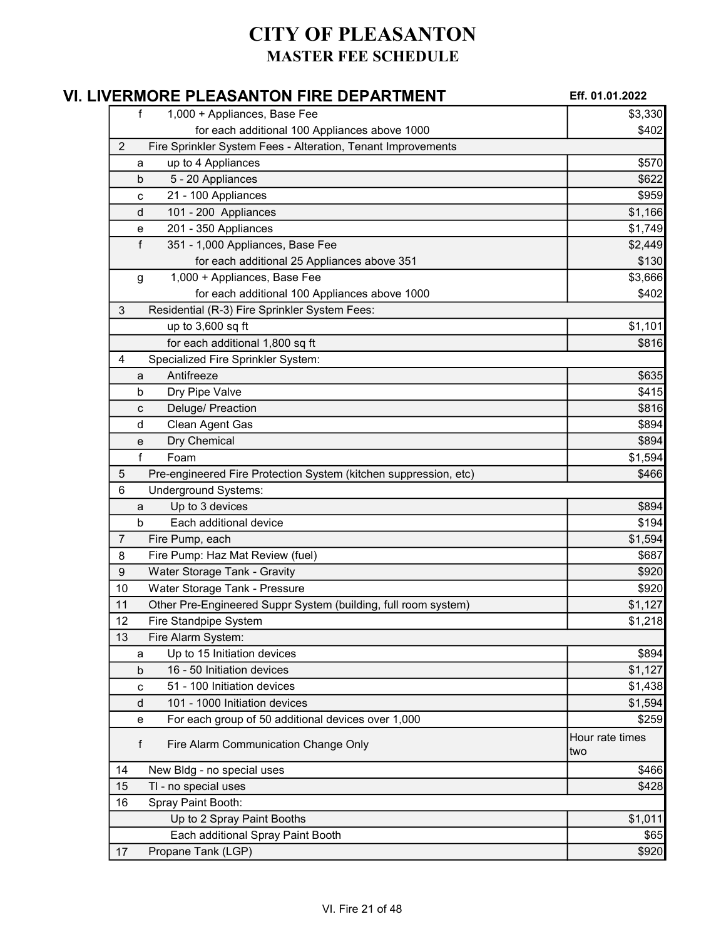| VI. LIVERMORE PLEASANTON FIRE DEPARTMENT                              | Eff. 01.01.2022        |
|-----------------------------------------------------------------------|------------------------|
| 1,000 + Appliances, Base Fee<br>f                                     | \$3,330                |
| for each additional 100 Appliances above 1000                         | \$402                  |
| Fire Sprinkler System Fees - Alteration, Tenant Improvements<br>2     |                        |
| up to 4 Appliances<br>a                                               | \$570                  |
| 5 - 20 Appliances<br>b                                                | \$622                  |
| 21 - 100 Appliances<br>с                                              | \$959                  |
| 101 - 200 Appliances<br>d                                             | \$1,166                |
| 201 - 350 Appliances<br>е                                             | \$1,749                |
| f<br>351 - 1,000 Appliances, Base Fee                                 | \$2,449                |
| for each additional 25 Appliances above 351                           | \$130                  |
| 1,000 + Appliances, Base Fee<br>g                                     | \$3,666                |
| for each additional 100 Appliances above 1000                         | \$402                  |
| Residential (R-3) Fire Sprinkler System Fees:<br>3                    |                        |
| up to 3,600 sq ft                                                     | \$1,101                |
| for each additional 1,800 sq ft                                       | \$816                  |
| Specialized Fire Sprinkler System:<br>4                               |                        |
| Antifreeze<br>a                                                       | \$635                  |
| Dry Pipe Valve<br>b                                                   | \$415                  |
| Deluge/ Preaction<br>c                                                | \$816                  |
| Clean Agent Gas<br>d                                                  | \$894                  |
| Dry Chemical<br>е                                                     | \$894                  |
| f<br>Foam                                                             | \$1,594                |
| Pre-engineered Fire Protection System (kitchen suppression, etc)<br>5 | \$466                  |
| <b>Underground Systems:</b><br>6                                      |                        |
| Up to 3 devices<br>a                                                  | \$894                  |
| Each additional device<br>b                                           | \$194                  |
| Fire Pump, each<br>7                                                  | \$1,594                |
| Fire Pump: Haz Mat Review (fuel)<br>8                                 | \$687                  |
| Water Storage Tank - Gravity<br>9                                     | \$920                  |
| Water Storage Tank - Pressure<br>10                                   | \$920                  |
| Other Pre-Engineered Suppr System (building, full room system)<br>11  | \$1,127                |
| Fire Standpipe System<br>12                                           | \$1,218                |
| Fire Alarm System:<br>13                                              |                        |
| Up to 15 Initiation devices<br>a                                      | \$894                  |
| 16 - 50 Initiation devices<br>b                                       | \$1,127                |
| 51 - 100 Initiation devices<br>c                                      | \$1,438                |
| 101 - 1000 Initiation devices<br>d                                    | \$1,594                |
| For each group of 50 additional devices over 1,000<br>е               | \$259                  |
| f<br>Fire Alarm Communication Change Only                             | Hour rate times<br>two |
| New Bldg - no special uses<br>14                                      | \$466                  |
| TI - no special uses<br>15                                            | \$428                  |
| Spray Paint Booth:<br>16                                              |                        |
| Up to 2 Spray Paint Booths                                            | \$1,011                |
| Each additional Spray Paint Booth                                     | \$65                   |
| Propane Tank (LGP)<br>17                                              | \$920                  |
|                                                                       |                        |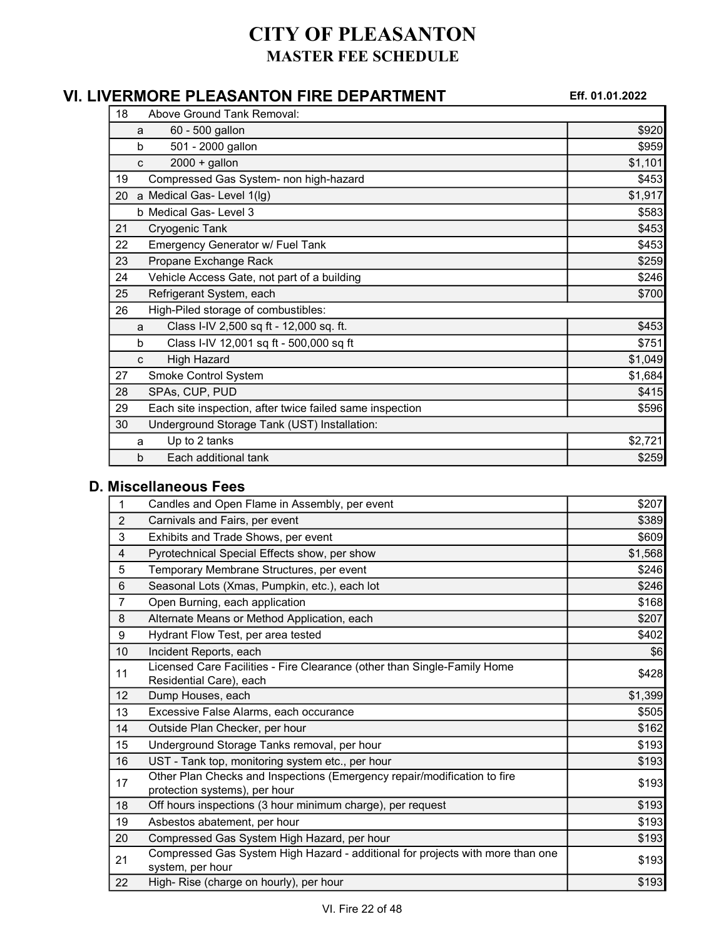### VI. LIVERMORE PLEASANTON FIRE DEPARTMENT Eff. 01.01.2022

| 18 |   | Above Ground Tank Removal:                               |         |
|----|---|----------------------------------------------------------|---------|
|    | a | 60 - 500 gallon                                          | \$920   |
|    | b | 501 - 2000 gallon                                        | \$959   |
|    | C | $2000 +$ gallon                                          | \$1,101 |
| 19 |   | Compressed Gas System- non high-hazard                   | \$453   |
| 20 |   | a Medical Gas-Level 1(lg)                                | \$1,917 |
|    |   | b Medical Gas- Level 3                                   | \$583   |
| 21 |   | Cryogenic Tank                                           | \$453   |
| 22 |   | <b>Emergency Generator w/ Fuel Tank</b>                  | \$453   |
| 23 |   | Propane Exchange Rack                                    | \$259   |
| 24 |   | Vehicle Access Gate, not part of a building              | \$246   |
| 25 |   | Refrigerant System, each                                 | \$700   |
| 26 |   | High-Piled storage of combustibles:                      |         |
|    | a | Class I-IV 2,500 sq ft - 12,000 sq. ft.                  | \$453   |
|    | b | Class I-IV 12,001 sq ft - 500,000 sq ft                  | \$751   |
|    | c | <b>High Hazard</b>                                       | \$1,049 |
| 27 |   | Smoke Control System                                     | \$1,684 |
| 28 |   | SPAs, CUP, PUD                                           | \$415   |
| 29 |   | Each site inspection, after twice failed same inspection | \$596   |
| 30 |   | Underground Storage Tank (UST) Installation:             |         |
|    | a | Up to 2 tanks                                            | \$2,721 |
|    | b | Each additional tank                                     | \$259   |

#### D. Miscellaneous Fees

| 1                       | Candles and Open Flame in Assembly, per event                                                             | \$207   |
|-------------------------|-----------------------------------------------------------------------------------------------------------|---------|
| $\overline{2}$          | Carnivals and Fairs, per event                                                                            | \$389   |
| 3                       | Exhibits and Trade Shows, per event                                                                       | \$609   |
| $\overline{\mathbf{4}}$ | Pyrotechnical Special Effects show, per show                                                              | \$1,568 |
| 5                       | Temporary Membrane Structures, per event                                                                  | \$246   |
| 6                       | Seasonal Lots (Xmas, Pumpkin, etc.), each lot                                                             | \$246   |
| $\overline{7}$          | Open Burning, each application                                                                            | \$168   |
| 8                       | Alternate Means or Method Application, each                                                               | \$207   |
| 9                       | Hydrant Flow Test, per area tested                                                                        | \$402   |
| 10                      | Incident Reports, each                                                                                    | \$6     |
| 11                      | Licensed Care Facilities - Fire Clearance (other than Single-Family Home<br>Residential Care), each       | \$428   |
| 12 <sup>2</sup>         | Dump Houses, each                                                                                         | \$1,399 |
| 13                      | Excessive False Alarms, each occurance                                                                    | \$505   |
| 14                      | Outside Plan Checker, per hour                                                                            | \$162   |
| 15                      | Underground Storage Tanks removal, per hour                                                               | \$193   |
| 16                      | UST - Tank top, monitoring system etc., per hour                                                          | \$193   |
| 17                      | Other Plan Checks and Inspections (Emergency repair/modification to fire<br>protection systems), per hour | \$193   |
| 18                      | Off hours inspections (3 hour minimum charge), per request                                                | \$193   |
| 19                      | Asbestos abatement, per hour                                                                              | \$193   |
| 20                      | Compressed Gas System High Hazard, per hour                                                               | \$193   |
| 21                      | Compressed Gas System High Hazard - additional for projects with more than one<br>system, per hour        | \$193   |
| 22                      | High- Rise (charge on hourly), per hour                                                                   | \$193   |
|                         |                                                                                                           |         |